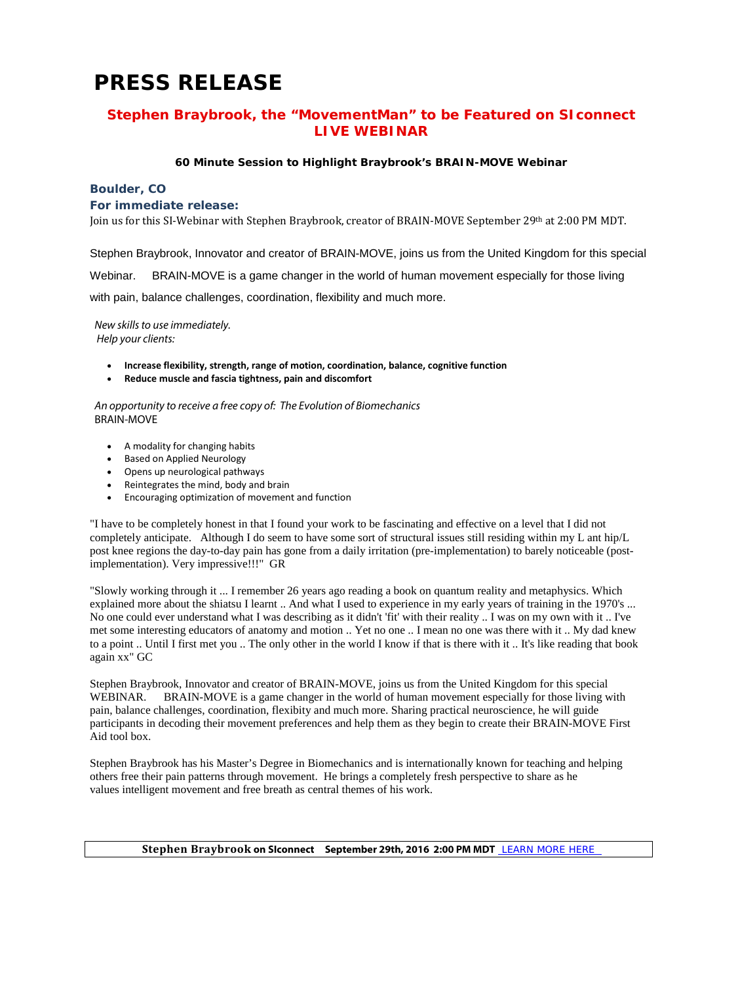# **PRESS RELEASE**

## **Stephen Braybrook, the "MovementMan" to be Featured on SIconnect LIVE WEBINAR**

### **60 Minute Session to Highlight Braybrook's BRAIN-MOVE Webinar**

#### **Boulder, CO**

#### **For immediate release:**

Join us for this SI-Webinar with Stephen Braybrook, creator of BRAIN-MOVE September 29th at 2:00 PM MDT.

Stephen Braybrook, Innovator and creator of BRAIN-MOVE, joins us from the United Kingdom for this special

Webinar. BRAIN-MOVE is a game changer in the world of human movement especially for those living

with pain, balance challenges, coordination, flexibility and much more.

*New skills to use immediately. Help your clients:*

- **Increase flexibility, strength, range of motion, coordination, balance, cognitive function**
- **Reduce muscle and fascia tightness, pain and discomfort**

*An opportunity to receive a free copy of: The Evolution of Biomechanics* BRAIN-MOVE

- A modality for changing habits
- Based on Applied Neurology
- Opens up neurological pathways
- Reintegrates the mind, body and brain
- Encouraging optimization of movement and function

"I have to be completely honest in that I found your work to be fascinating and effective on a level that I did not completely anticipate. Although I do seem to have some sort of structural issues still residing within my L ant hip/L post knee regions the day-to-day pain has gone from a daily irritation (pre-implementation) to barely noticeable (postimplementation). Very impressive!!!" GR

"Slowly working through it ... I remember 26 years ago reading a book on quantum reality and metaphysics. Which explained more about the shiatsu I learnt .. And what I used to experience in my early years of training in the 1970's ... No one could ever understand what I was describing as it didn't 'fit' with their reality .. I was on my own with it .. I've met some interesting educators of anatomy and motion .. Yet no one .. I mean no one was there with it .. My dad knew to a point .. Until I first met you .. The only other in the world I know if that is there with it .. It's like reading that book again xx" GC

Stephen Braybrook, Innovator and creator of BRAIN-MOVE, joins us from the United Kingdom for this special WEBINAR. BRAIN-MOVE is a game changer in the world of human movement especially for those living with pain, balance challenges, coordination, flexibity and much more. Sharing practical neuroscience, he will guide participants in decoding their movement preferences and help them as they begin to create their BRAIN-MOVE First Aid tool box.

Stephen Braybrook has his Master's Degree in Biomechanics and is internationally known for teaching and helping others free their pain patterns through movement. He brings a completely fresh perspective to share as he values intelligent movement and free breath as central themes of his work.

#### **Stephen Braybrook on SIconnect September 29th, 2016 2:00 PM MDT** [LEARN MORE HERE](https://www.eventbrite.com/e/brainmove-webinar-with-stephen-braybrook-tickets-27229523237?ref=ebtn)